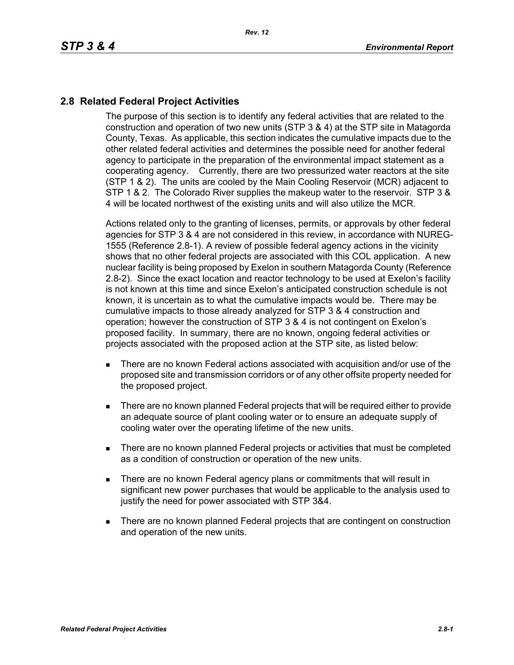## **2.8 Related Federal Project Activities**

The purpose of this section is to identify any federal activities that are related to the construction and operation of two new units (STP 3 & 4) at the STP site in Matagorda County, Texas. As applicable, this section indicates the cumulative impacts due to the other related federal activities and determines the possible need for another federal agency to participate in the preparation of the environmental impact statement as a cooperating agency. Currently, there are two pressurized water reactors at the site (STP 1 & 2). The units are cooled by the Main Cooling Reservoir (MCR) adjacent to STP 1 & 2. The Colorado River supplies the makeup water to the reservoir. STP 3 & 4 will be located northwest of the existing units and will also utilize the MCR.

Actions related only to the granting of licenses, permits, or approvals by other federal agencies for STP 3 & 4 are not considered in this review, in accordance with NUREG-1555 (Reference 2.8-1). A review of possible federal agency actions in the vicinity shows that no other federal projects are associated with this COL application. A new nuclear facility is being proposed by Exelon in southern Matagorda County (Reference 2.8-2). Since the exact location and reactor technology to be used at Exelon's facility is not known at this time and since Exelon's anticipated construction schedule is not known, it is uncertain as to what the cumulative impacts would be. There may be cumulative impacts to those already analyzed for STP 3 & 4 construction and operation; however the construction of STP 3 & 4 is not contingent on Exelon's proposed facility. In summary, there are no known, ongoing federal activities or projects associated with the proposed action at the STP site, as listed below:

- There are no known Federal actions associated with acquisition and/or use of the proposed site and transmission corridors or of any other offsite property needed for the proposed project.
- **There are no known planned Federal projects that will be required either to provide** an adequate source of plant cooling water or to ensure an adequate supply of cooling water over the operating lifetime of the new units.
- There are no known planned Federal projects or activities that must be completed as a condition of construction or operation of the new units.
- **There are no known Federal agency plans or commitments that will result in** significant new power purchases that would be applicable to the analysis used to justify the need for power associated with STP 3&4.
- There are no known planned Federal projects that are contingent on construction and operation of the new units.